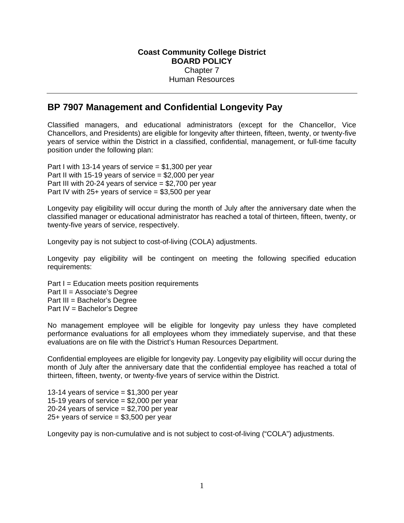## **Coast Community College District BOARD POLICY** Chapter 7 Human Resources

## **BP 7907 Management and Confidential Longevity Pay**

Classified managers, and educational administrators (except for the Chancellor, Vice Chancellors, and Presidents) are eligible for longevity after thirteen, fifteen, twenty, or twenty-five years of service within the District in a classified, confidential, management, or full-time faculty position under the following plan:

Part I with 13-14 years of service  $= $1,300$  per year Part II with 15-19 years of service = \$2,000 per year Part III with 20-24 years of service  $= $2,700$  per year Part IV with  $25+$  years of service = \$3,500 per year

Longevity pay eligibility will occur during the month of July after the anniversary date when the classified manager or educational administrator has reached a total of thirteen, fifteen, twenty, or twenty-five years of service, respectively.

Longevity pay is not subject to cost-of-living (COLA) adjustments.

Longevity pay eligibility will be contingent on meeting the following specified education requirements:

Part I = Education meets position requirements Part II = Associate's Degree Part III = Bachelor's Degree Part IV = Bachelor's Degree

No management employee will be eligible for longevity pay unless they have completed performance evaluations for all employees whom they immediately supervise, and that these evaluations are on file with the District's Human Resources Department.

Confidential employees are eligible for longevity pay. Longevity pay eligibility will occur during the month of July after the anniversary date that the confidential employee has reached a total of thirteen, fifteen, twenty, or twenty-five years of service within the District.

13-14 years of service  $= $1,300$  per year 15-19 years of service  $= $2,000$  per year 20-24 years of service  $= $2,700$  per year  $25+$  years of service = \$3,500 per year

Longevity pay is non-cumulative and is not subject to cost-of-living ("COLA") adjustments.